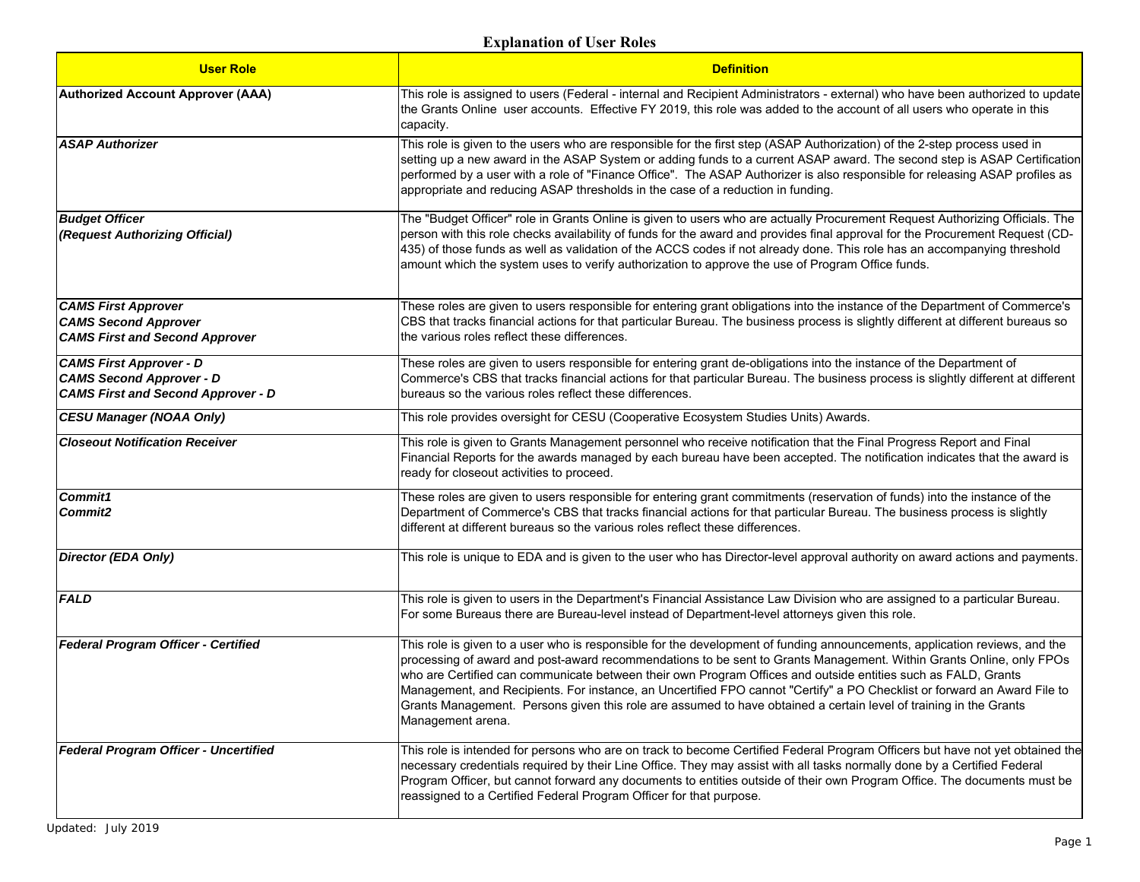| <b>User Role</b>                                                                                               | <b>Definition</b>                                                                                                                                                                                                                                                                                                                                                                                                                                                                                                                                                                                                                        |
|----------------------------------------------------------------------------------------------------------------|------------------------------------------------------------------------------------------------------------------------------------------------------------------------------------------------------------------------------------------------------------------------------------------------------------------------------------------------------------------------------------------------------------------------------------------------------------------------------------------------------------------------------------------------------------------------------------------------------------------------------------------|
| <b>Authorized Account Approver (AAA)</b>                                                                       | This role is assigned to users (Federal - internal and Recipient Administrators - external) who have been authorized to update<br>the Grants Online user accounts. Effective FY 2019, this role was added to the account of all users who operate in this<br>capacity.                                                                                                                                                                                                                                                                                                                                                                   |
| <b>ASAP Authorizer</b>                                                                                         | This role is given to the users who are responsible for the first step (ASAP Authorization) of the 2-step process used in<br>setting up a new award in the ASAP System or adding funds to a current ASAP award. The second step is ASAP Certification<br>performed by a user with a role of "Finance Office". The ASAP Authorizer is also responsible for releasing ASAP profiles as<br>appropriate and reducing ASAP thresholds in the case of a reduction in funding.                                                                                                                                                                  |
| <b>Budget Officer</b><br>(Request Authorizing Official)                                                        | The "Budget Officer" role in Grants Online is given to users who are actually Procurement Request Authorizing Officials. The<br>person with this role checks availability of funds for the award and provides final approval for the Procurement Request (CD-<br>435) of those funds as well as validation of the ACCS codes if not already done. This role has an accompanying threshold<br>amount which the system uses to verify authorization to approve the use of Program Office funds.                                                                                                                                            |
| <b>CAMS First Approver</b><br><b>CAMS Second Approver</b><br><b>CAMS First and Second Approver</b>             | These roles are given to users responsible for entering grant obligations into the instance of the Department of Commerce's<br>CBS that tracks financial actions for that particular Bureau. The business process is slightly different at different bureaus so<br>the various roles reflect these differences.                                                                                                                                                                                                                                                                                                                          |
| <b>CAMS First Approver - D</b><br><b>CAMS Second Approver - D</b><br><b>CAMS First and Second Approver - D</b> | These roles are given to users responsible for entering grant de-obligations into the instance of the Department of<br>Commerce's CBS that tracks financial actions for that particular Bureau. The business process is slightly different at different<br>bureaus so the various roles reflect these differences.                                                                                                                                                                                                                                                                                                                       |
| <b>CESU Manager (NOAA Only)</b>                                                                                | This role provides oversight for CESU (Cooperative Ecosystem Studies Units) Awards.                                                                                                                                                                                                                                                                                                                                                                                                                                                                                                                                                      |
| <b>Closeout Notification Receiver</b>                                                                          | This role is given to Grants Management personnel who receive notification that the Final Progress Report and Final<br>Financial Reports for the awards managed by each bureau have been accepted. The notification indicates that the award is<br>ready for closeout activities to proceed.                                                                                                                                                                                                                                                                                                                                             |
| Commit1<br>Commit2                                                                                             | These roles are given to users responsible for entering grant commitments (reservation of funds) into the instance of the<br>Department of Commerce's CBS that tracks financial actions for that particular Bureau. The business process is slightly<br>different at different bureaus so the various roles reflect these differences.                                                                                                                                                                                                                                                                                                   |
| <b>Director (EDA Only)</b>                                                                                     | This role is unique to EDA and is given to the user who has Director-level approval authority on award actions and payments.                                                                                                                                                                                                                                                                                                                                                                                                                                                                                                             |
| <b>FALD</b>                                                                                                    | This role is given to users in the Department's Financial Assistance Law Division who are assigned to a particular Bureau.<br>For some Bureaus there are Bureau-level instead of Department-level attorneys given this role.                                                                                                                                                                                                                                                                                                                                                                                                             |
| Federal Program Officer - Certified                                                                            | This role is given to a user who is responsible for the development of funding announcements, application reviews, and the<br>processing of award and post-award recommendations to be sent to Grants Management. Within Grants Online, only FPOs<br>who are Certified can communicate between their own Program Offices and outside entities such as FALD, Grants<br>Management, and Recipients. For instance, an Uncertified FPO cannot "Certify" a PO Checklist or forward an Award File to<br>Grants Management. Persons given this role are assumed to have obtained a certain level of training in the Grants<br>Management arena. |
| Federal Program Officer - Uncertified                                                                          | This role is intended for persons who are on track to become Certified Federal Program Officers but have not yet obtained the<br>necessary credentials required by their Line Office. They may assist with all tasks normally done by a Certified Federal<br>Program Officer, but cannot forward any documents to entities outside of their own Program Office. The documents must be<br>reassigned to a Certified Federal Program Officer for that purpose.                                                                                                                                                                             |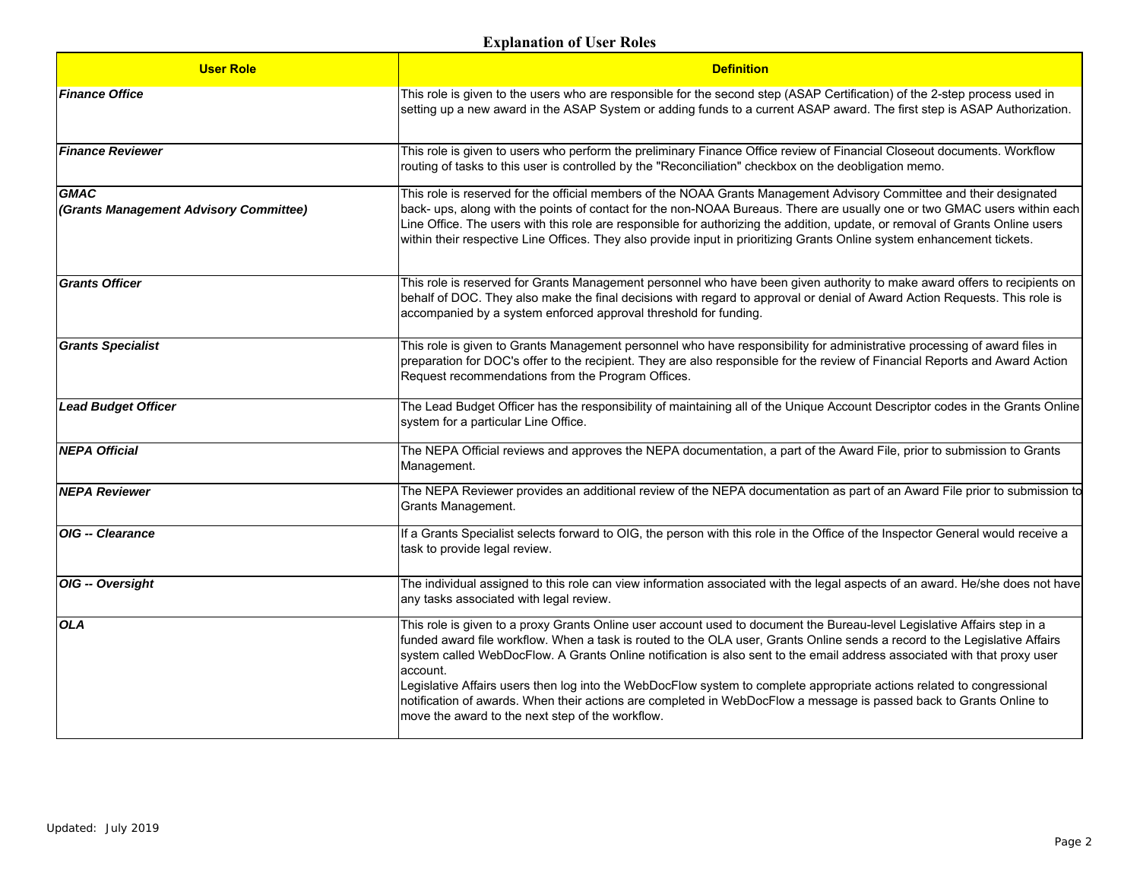| <b>User Role</b>                                      | <b>Definition</b>                                                                                                                                                                                                                                                                                                                                                                                                                                                                                                                                                                                                                                                                                   |
|-------------------------------------------------------|-----------------------------------------------------------------------------------------------------------------------------------------------------------------------------------------------------------------------------------------------------------------------------------------------------------------------------------------------------------------------------------------------------------------------------------------------------------------------------------------------------------------------------------------------------------------------------------------------------------------------------------------------------------------------------------------------------|
| <b>Finance Office</b>                                 | This role is given to the users who are responsible for the second step (ASAP Certification) of the 2-step process used in<br>setting up a new award in the ASAP System or adding funds to a current ASAP award. The first step is ASAP Authorization.                                                                                                                                                                                                                                                                                                                                                                                                                                              |
| <b>Finance Reviewer</b>                               | This role is given to users who perform the preliminary Finance Office review of Financial Closeout documents. Workflow<br>routing of tasks to this user is controlled by the "Reconciliation" checkbox on the deobligation memo.                                                                                                                                                                                                                                                                                                                                                                                                                                                                   |
| <b>GMAC</b><br>(Grants Management Advisory Committee) | This role is reserved for the official members of the NOAA Grants Management Advisory Committee and their designated<br>back- ups, along with the points of contact for the non-NOAA Bureaus. There are usually one or two GMAC users within each<br>Line Office. The users with this role are responsible for authorizing the addition, update, or removal of Grants Online users<br>within their respective Line Offices. They also provide input in prioritizing Grants Online system enhancement tickets.                                                                                                                                                                                       |
| <b>Grants Officer</b>                                 | This role is reserved for Grants Management personnel who have been given authority to make award offers to recipients on<br>behalf of DOC. They also make the final decisions with regard to approval or denial of Award Action Requests. This role is<br>accompanied by a system enforced approval threshold for funding.                                                                                                                                                                                                                                                                                                                                                                         |
| <b>Grants Specialist</b>                              | This role is given to Grants Management personnel who have responsibility for administrative processing of award files in<br>preparation for DOC's offer to the recipient. They are also responsible for the review of Financial Reports and Award Action<br>Request recommendations from the Program Offices.                                                                                                                                                                                                                                                                                                                                                                                      |
| <b>Lead Budget Officer</b>                            | The Lead Budget Officer has the responsibility of maintaining all of the Unique Account Descriptor codes in the Grants Online<br>system for a particular Line Office.                                                                                                                                                                                                                                                                                                                                                                                                                                                                                                                               |
| <b>NEPA Official</b>                                  | The NEPA Official reviews and approves the NEPA documentation, a part of the Award File, prior to submission to Grants<br>Management.                                                                                                                                                                                                                                                                                                                                                                                                                                                                                                                                                               |
| <b>NEPA Reviewer</b>                                  | The NEPA Reviewer provides an additional review of the NEPA documentation as part of an Award File prior to submission to<br>Grants Management.                                                                                                                                                                                                                                                                                                                                                                                                                                                                                                                                                     |
| OIG -- Clearance                                      | If a Grants Specialist selects forward to OIG, the person with this role in the Office of the Inspector General would receive a<br>task to provide legal review.                                                                                                                                                                                                                                                                                                                                                                                                                                                                                                                                    |
| OIG -- Oversight                                      | The individual assigned to this role can view information associated with the legal aspects of an award. He/she does not have<br>any tasks associated with legal review.                                                                                                                                                                                                                                                                                                                                                                                                                                                                                                                            |
| <b>OLA</b>                                            | This role is given to a proxy Grants Online user account used to document the Bureau-level Legislative Affairs step in a<br>funded award file workflow. When a task is routed to the OLA user, Grants Online sends a record to the Legislative Affairs<br>system called WebDocFlow. A Grants Online notification is also sent to the email address associated with that proxy user<br>account.<br>Legislative Affairs users then log into the WebDocFlow system to complete appropriate actions related to congressional<br>notification of awards. When their actions are completed in WebDocFlow a message is passed back to Grants Online to<br>move the award to the next step of the workflow. |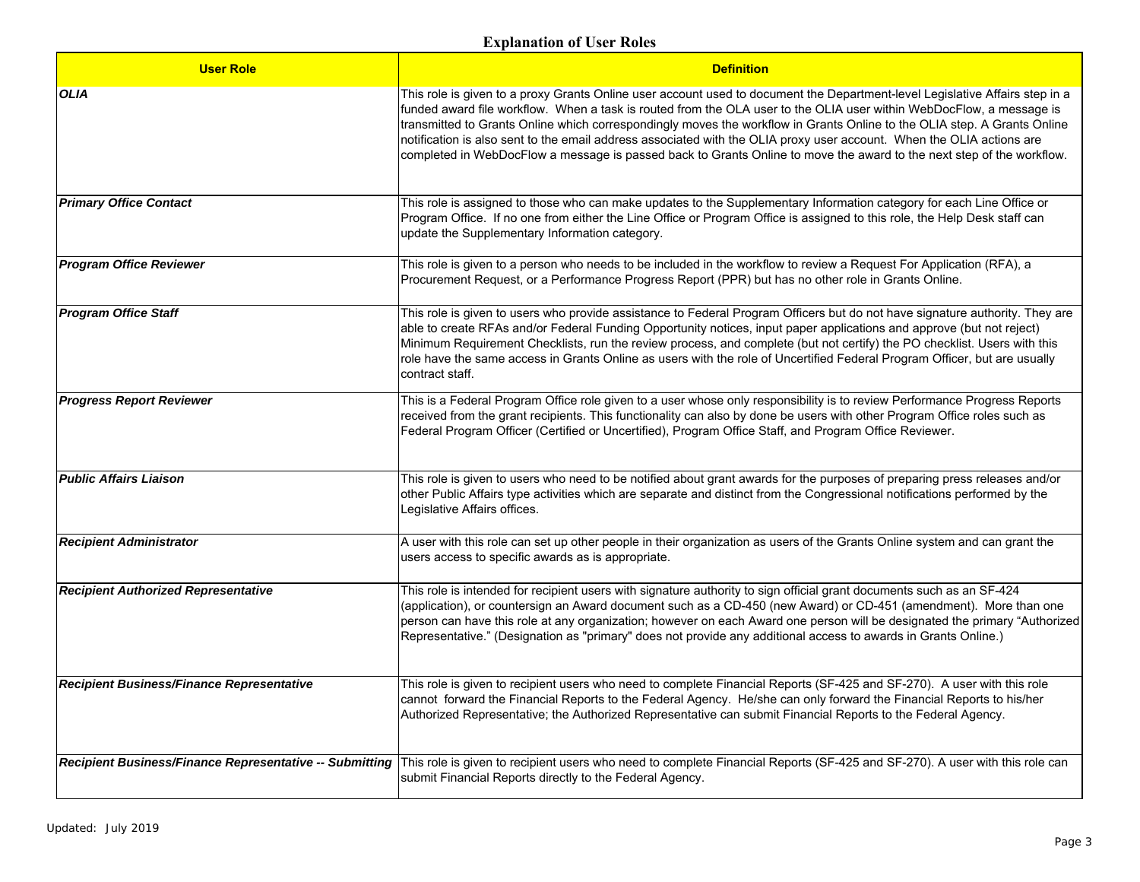| <b>User Role</b>                                        | <b>Definition</b>                                                                                                                                                                                                                                                                                                                                                                                                                                                                                                                                                                                                                  |
|---------------------------------------------------------|------------------------------------------------------------------------------------------------------------------------------------------------------------------------------------------------------------------------------------------------------------------------------------------------------------------------------------------------------------------------------------------------------------------------------------------------------------------------------------------------------------------------------------------------------------------------------------------------------------------------------------|
| <b>OLIA</b>                                             | This role is given to a proxy Grants Online user account used to document the Department-level Legislative Affairs step in a<br>funded award file workflow. When a task is routed from the OLA user to the OLIA user within WebDocFlow, a message is<br>transmitted to Grants Online which correspondingly moves the workflow in Grants Online to the OLIA step. A Grants Online<br>notification is also sent to the email address associated with the OLIA proxy user account. When the OLIA actions are<br>completed in WebDocFlow a message is passed back to Grants Online to move the award to the next step of the workflow. |
| <b>Primary Office Contact</b>                           | This role is assigned to those who can make updates to the Supplementary Information category for each Line Office or<br>Program Office. If no one from either the Line Office or Program Office is assigned to this role, the Help Desk staff can<br>update the Supplementary Information category.                                                                                                                                                                                                                                                                                                                               |
| <b>Program Office Reviewer</b>                          | This role is given to a person who needs to be included in the workflow to review a Request For Application (RFA), a<br>Procurement Request, or a Performance Progress Report (PPR) but has no other role in Grants Online.                                                                                                                                                                                                                                                                                                                                                                                                        |
| <b>Program Office Staff</b>                             | This role is given to users who provide assistance to Federal Program Officers but do not have signature authority. They are<br>able to create RFAs and/or Federal Funding Opportunity notices, input paper applications and approve (but not reject)<br>Minimum Requirement Checklists, run the review process, and complete (but not certify) the PO checklist. Users with this<br>role have the same access in Grants Online as users with the role of Uncertified Federal Program Officer, but are usually<br>contract staff.                                                                                                  |
| <b>Progress Report Reviewer</b>                         | This is a Federal Program Office role given to a user whose only responsibility is to review Performance Progress Reports<br>received from the grant recipients. This functionality can also by done be users with other Program Office roles such as<br>Federal Program Officer (Certified or Uncertified), Program Office Staff, and Program Office Reviewer.                                                                                                                                                                                                                                                                    |
| <b>Public Affairs Liaison</b>                           | This role is given to users who need to be notified about grant awards for the purposes of preparing press releases and/or<br>other Public Affairs type activities which are separate and distinct from the Congressional notifications performed by the<br>Legislative Affairs offices.                                                                                                                                                                                                                                                                                                                                           |
| <b>Recipient Administrator</b>                          | A user with this role can set up other people in their organization as users of the Grants Online system and can grant the<br>users access to specific awards as is appropriate.                                                                                                                                                                                                                                                                                                                                                                                                                                                   |
| <b>Recipient Authorized Representative</b>              | This role is intended for recipient users with signature authority to sign official grant documents such as an SF-424<br>(application), or countersign an Award document such as a CD-450 (new Award) or CD-451 (amendment). More than one<br>person can have this role at any organization; however on each Award one person will be designated the primary "Authorized<br>Representative." (Designation as "primary" does not provide any additional access to awards in Grants Online.)                                                                                                                                         |
| Recipient Business/Finance Representative               | This role is given to recipient users who need to complete Financial Reports (SF-425 and SF-270). A user with this role<br>cannot forward the Financial Reports to the Federal Agency. He/she can only forward the Financial Reports to his/her<br>Authorized Representative; the Authorized Representative can submit Financial Reports to the Federal Agency.                                                                                                                                                                                                                                                                    |
| Recipient Business/Finance Representative -- Submitting | This role is given to recipient users who need to complete Financial Reports (SF-425 and SF-270). A user with this role can<br>submit Financial Reports directly to the Federal Agency.                                                                                                                                                                                                                                                                                                                                                                                                                                            |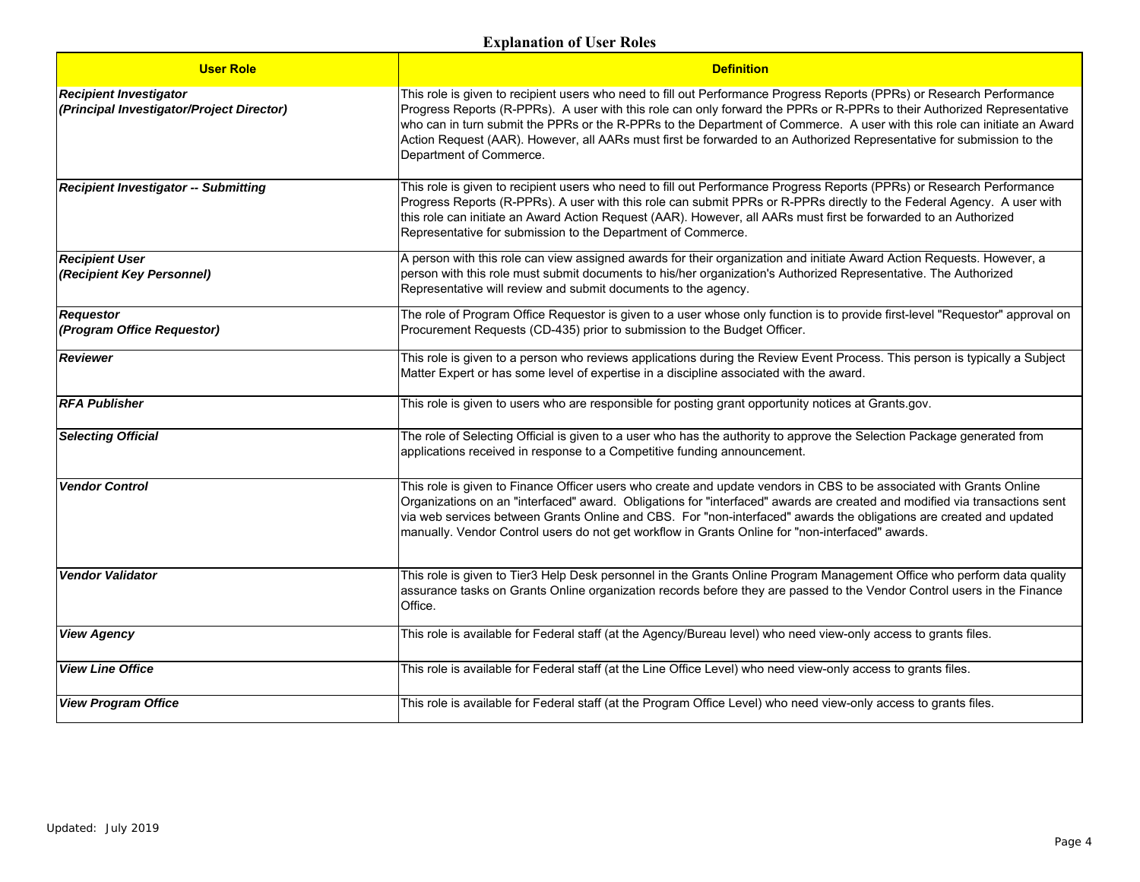| <b>User Role</b>                                                           | <b>Definition</b>                                                                                                                                                                                                                                                                                                                                                                                                                                                                                                                 |
|----------------------------------------------------------------------------|-----------------------------------------------------------------------------------------------------------------------------------------------------------------------------------------------------------------------------------------------------------------------------------------------------------------------------------------------------------------------------------------------------------------------------------------------------------------------------------------------------------------------------------|
| <b>Recipient Investigator</b><br>(Principal Investigator/Project Director) | This role is given to recipient users who need to fill out Performance Progress Reports (PPRs) or Research Performance<br>Progress Reports (R-PPRs). A user with this role can only forward the PPRs or R-PPRs to their Authorized Representative<br>who can in turn submit the PPRs or the R-PPRs to the Department of Commerce. A user with this role can initiate an Award<br>Action Request (AAR). However, all AARs must first be forwarded to an Authorized Representative for submission to the<br>Department of Commerce. |
| <b>Recipient Investigator -- Submitting</b>                                | This role is given to recipient users who need to fill out Performance Progress Reports (PPRs) or Research Performance<br>Progress Reports (R-PPRs). A user with this role can submit PPRs or R-PPRs directly to the Federal Agency. A user with<br>this role can initiate an Award Action Request (AAR). However, all AARs must first be forwarded to an Authorized<br>Representative for submission to the Department of Commerce.                                                                                              |
| <b>Recipient User</b><br>(Recipient Key Personnel)                         | A person with this role can view assigned awards for their organization and initiate Award Action Requests. However, a<br>person with this role must submit documents to his/her organization's Authorized Representative. The Authorized<br>Representative will review and submit documents to the agency.                                                                                                                                                                                                                       |
| <b>Requestor</b><br>(Program Office Requestor)                             | The role of Program Office Requestor is given to a user whose only function is to provide first-level "Requestor" approval on<br>Procurement Requests (CD-435) prior to submission to the Budget Officer.                                                                                                                                                                                                                                                                                                                         |
| Reviewer                                                                   | This role is given to a person who reviews applications during the Review Event Process. This person is typically a Subject<br>Matter Expert or has some level of expertise in a discipline associated with the award.                                                                                                                                                                                                                                                                                                            |
| <b>RFA Publisher</b>                                                       | This role is given to users who are responsible for posting grant opportunity notices at Grants.gov.                                                                                                                                                                                                                                                                                                                                                                                                                              |
| <b>Selecting Official</b>                                                  | The role of Selecting Official is given to a user who has the authority to approve the Selection Package generated from<br>applications received in response to a Competitive funding announcement.                                                                                                                                                                                                                                                                                                                               |
| <b>Vendor Control</b>                                                      | This role is given to Finance Officer users who create and update vendors in CBS to be associated with Grants Online<br>Organizations on an "interfaced" award. Obligations for "interfaced" awards are created and modified via transactions sent<br>via web services between Grants Online and CBS. For "non-interfaced" awards the obligations are created and updated<br>manually. Vendor Control users do not get workflow in Grants Online for "non-interfaced" awards.                                                     |
| <b>Vendor Validator</b>                                                    | This role is given to Tier3 Help Desk personnel in the Grants Online Program Management Office who perform data quality<br>assurance tasks on Grants Online organization records before they are passed to the Vendor Control users in the Finance<br>Office.                                                                                                                                                                                                                                                                     |
| <b>View Agency</b>                                                         | This role is available for Federal staff (at the Agency/Bureau level) who need view-only access to grants files.                                                                                                                                                                                                                                                                                                                                                                                                                  |
| <b>View Line Office</b>                                                    | This role is available for Federal staff (at the Line Office Level) who need view-only access to grants files.                                                                                                                                                                                                                                                                                                                                                                                                                    |
| <b>View Program Office</b>                                                 | This role is available for Federal staff (at the Program Office Level) who need view-only access to grants files.                                                                                                                                                                                                                                                                                                                                                                                                                 |